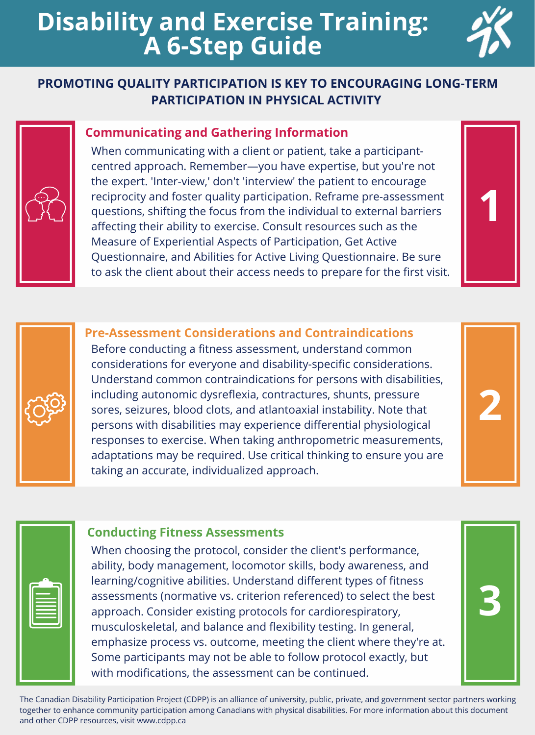# **Disability and Exercise Training: A 6-Step Guide**

# **PROMOTING QUALITY PARTICIPATION IS KEY TO ENCOURAGING LONG-TERM PARTICIPATION IN PHYSICAL ACTIVITY**

### **Communicating and Gathering Information**

 When communicating with a client or patient, take a participant- centred approach. Remember—you have expertise, but you're not the expert. 'Inter-view,' don't 'interview' the patient to encourage reciprocity and foster quality participation. Reframe pre-assessment questions, shifting the focus from the individual to external barriers affecting their ability to exercise. Consult resources such as the Measure of Experiential Aspects of Participation, Get Active Questionnaire, and Abilities for Active Living Questionnaire. Be sure to ask the client about their access needs to prepare for the first visit.

## **Pre-Assessment Considerations and Contraindications**

 Before conducting a fitness assessment, understand common considerations for everyone and disability-specific considerations. Understand common contraindications for persons with disabilities, including autonomic dysreflexia, contractures, shunts, pressure sores, seizures, blood clots, and atlantoaxial instability. Note that persons with disabilities may experience differential physiological responses to exercise. When taking anthropometric measurements, adaptations may be required. Use critical thinking to ensure you are taking an accurate, individualized approach.

### **Conducting Fitness Assessments**

 When choosing the protocol, consider the client's performance, ability, body management, locomotor skills, body awareness, and learning/cognitive abilities. Understand different types of fitness assessments (normative vs. criterion referenced) to select the best approach. Consider existing protocols for cardiorespiratory, musculoskeletal, and balance and flexibility testing. In general, emphasize process vs. outcome, meeting the client where they're at. Some participants may not be able to follow protocol exactly, but with modifications, the assessment can be continued.

The Canadian Disability Participation Project (CDPP) is an alliance of university, public, private, and government sector partners working together to enhance community participation among Canadians with physical disabilities. For more information about this document and other CDPP resources, visit<www.cdpp.ca>